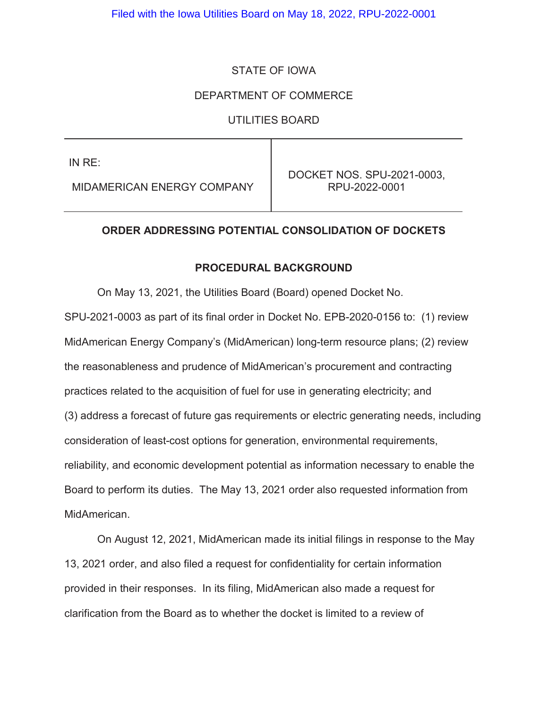## STATE OF IOWA

## DEPARTMENT OF COMMERCE

UTILITIES BOARD

IN RE:

MIDAMERICAN ENERGY COMPANY

DOCKET NOS. SPU-2021-0003, RPU-2022-0001

## **ORDER ADDRESSING POTENTIAL CONSOLIDATION OF DOCKETS**

#### **PROCEDURAL BACKGROUND**

 On May 13, 2021, the Utilities Board (Board) opened Docket No. SPU-2021-0003 as part of its final order in Docket No. EPB-2020-0156 to: (1) review MidAmerican Energy Company's (MidAmerican) long-term resource plans; (2) review the reasonableness and prudence of MidAmerican's procurement and contracting practices related to the acquisition of fuel for use in generating electricity; and (3) address a forecast of future gas requirements or electric generating needs, including consideration of least-cost options for generation, environmental requirements, reliability, and economic development potential as information necessary to enable the Board to perform its duties. The May 13, 2021 order also requested information from MidAmerican.

 On August 12, 2021, MidAmerican made its initial filings in response to the May 13, 2021 order, and also filed a request for confidentiality for certain information provided in their responses. In its filing, MidAmerican also made a request for clarification from the Board as to whether the docket is limited to a review of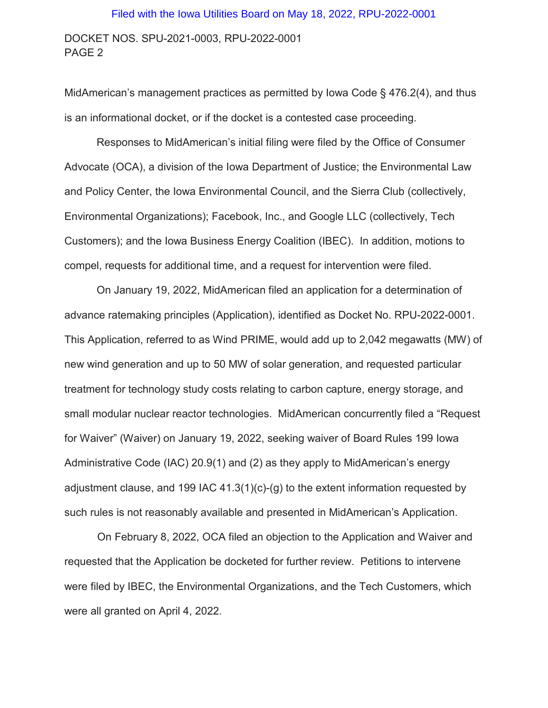#### Filed with the Iowa Utilities Board on May 18, 2022, RPU-2022-0001

DOCKET NOS. SPU-2021-0003, RPU-2022-0001 PAGE 2

MidAmerican's management practices as permitted by Iowa Code § 476.2(4), and thus is an informational docket, or if the docket is a contested case proceeding.

Responses to MidAmerican's initial filing were filed by the Office of Consumer Advocate (OCA), a division of the Iowa Department of Justice; the Environmental Law and Policy Center, the Iowa Environmental Council, and the Sierra Club (collectively, Environmental Organizations); Facebook, Inc., and Google LLC (collectively, Tech Customers); and the Iowa Business Energy Coalition (IBEC). In addition, motions to compel, requests for additional time, and a request for intervention were filed.

 On January 19, 2022, MidAmerican filed an application for a determination of advance ratemaking principles (Application), identified as Docket No. RPU-2022-0001. This Application, referred to as Wind PRIME, would add up to 2,042 megawatts (MW) of new wind generation and up to 50 MW of solar generation, and requested particular treatment for technology study costs relating to carbon capture, energy storage, and small modular nuclear reactor technologies. MidAmerican concurrently filed a "Request for Waiver" (Waiver) on January 19, 2022, seeking waiver of Board Rules 199 Iowa Administrative Code (IAC) 20.9(1) and (2) as they apply to MidAmerican's energy adjustment clause, and 199 IAC 41.3(1)(c)-(g) to the extent information requested by such rules is not reasonably available and presented in MidAmerican's Application.

 On February 8, 2022, OCA filed an objection to the Application and Waiver and requested that the Application be docketed for further review. Petitions to intervene were filed by IBEC, the Environmental Organizations, and the Tech Customers, which were all granted on April 4, 2022.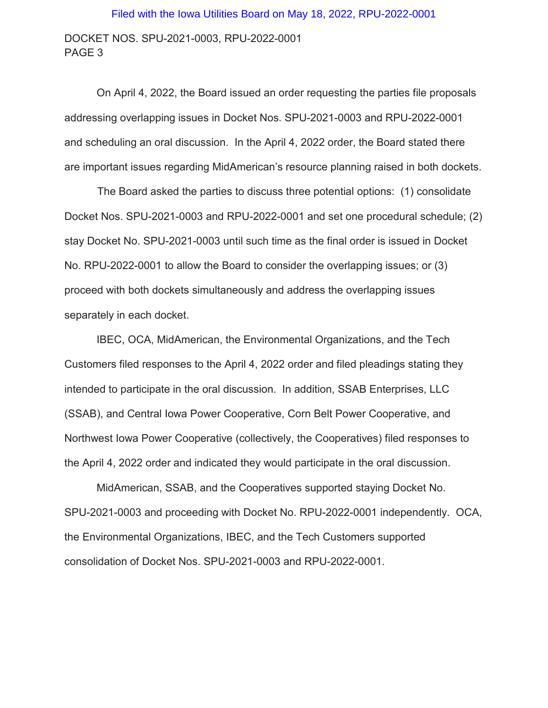# Filed with the Iowa Utilities Board on May 18, 2022, RPU-2022-0001

DOCKET NOS. SPU-2021-0003, RPU-2022-0001 PAGE 3

 On April 4, 2022, the Board issued an order requesting the parties file proposals addressing overlapping issues in Docket Nos. SPU-2021-0003 and RPU-2022-0001 and scheduling an oral discussion. In the April 4, 2022 order, the Board stated there are important issues regarding MidAmerican's resource planning raised in both dockets.

 The Board asked the parties to discuss three potential options: (1) consolidate Docket Nos. SPU-2021-0003 and RPU-2022-0001 and set one procedural schedule; (2) stay Docket No. SPU-2021-0003 until such time as the final order is issued in Docket No. RPU-2022-0001 to allow the Board to consider the overlapping issues; or (3) proceed with both dockets simultaneously and address the overlapping issues separately in each docket.

 IBEC, OCA, MidAmerican, the Environmental Organizations, and the Tech Customers filed responses to the April 4, 2022 order and filed pleadings stating they intended to participate in the oral discussion. In addition, SSAB Enterprises, LLC (SSAB), and Central Iowa Power Cooperative, Corn Belt Power Cooperative, and Northwest Iowa Power Cooperative (collectively, the Cooperatives) filed responses to the April 4, 2022 order and indicated they would participate in the oral discussion.

 MidAmerican, SSAB, and the Cooperatives supported staying Docket No. SPU-2021-0003 and proceeding with Docket No. RPU-2022-0001 independently. OCA, the Environmental Organizations, IBEC, and the Tech Customers supported consolidation of Docket Nos. SPU-2021-0003 and RPU-2022-0001.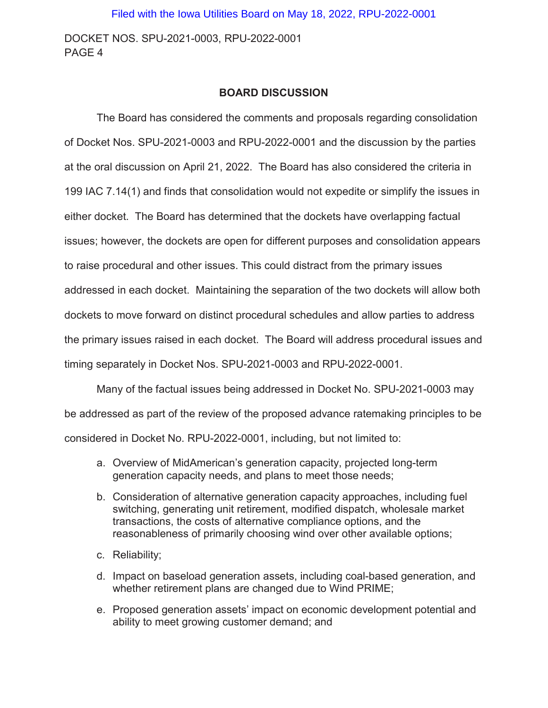DOCKET NOS. SPU-2021-0003, RPU-2022-0001 PAGE 4

#### **BOARD DISCUSSION**

The Board has considered the comments and proposals regarding consolidation of Docket Nos. SPU-2021-0003 and RPU-2022-0001 and the discussion by the parties at the oral discussion on April 21, 2022. The Board has also considered the criteria in 199 IAC 7.14(1) and finds that consolidation would not expedite or simplify the issues in either docket. The Board has determined that the dockets have overlapping factual issues; however, the dockets are open for different purposes and consolidation appears to raise procedural and other issues. This could distract from the primary issues addressed in each docket. Maintaining the separation of the two dockets will allow both dockets to move forward on distinct procedural schedules and allow parties to address the primary issues raised in each docket. The Board will address procedural issues and timing separately in Docket Nos. SPU-2021-0003 and RPU-2022-0001.

Many of the factual issues being addressed in Docket No. SPU-2021-0003 may be addressed as part of the review of the proposed advance ratemaking principles to be considered in Docket No. RPU-2022-0001, including, but not limited to:

- a. Overview of MidAmerican's generation capacity, projected long-term generation capacity needs, and plans to meet those needs;
- b. Consideration of alternative generation capacity approaches, including fuel switching, generating unit retirement, modified dispatch, wholesale market transactions, the costs of alternative compliance options, and the reasonableness of primarily choosing wind over other available options;
- c. Reliability;
- d. Impact on baseload generation assets, including coal-based generation, and whether retirement plans are changed due to Wind PRIME;
- e. Proposed generation assets' impact on economic development potential and ability to meet growing customer demand; and